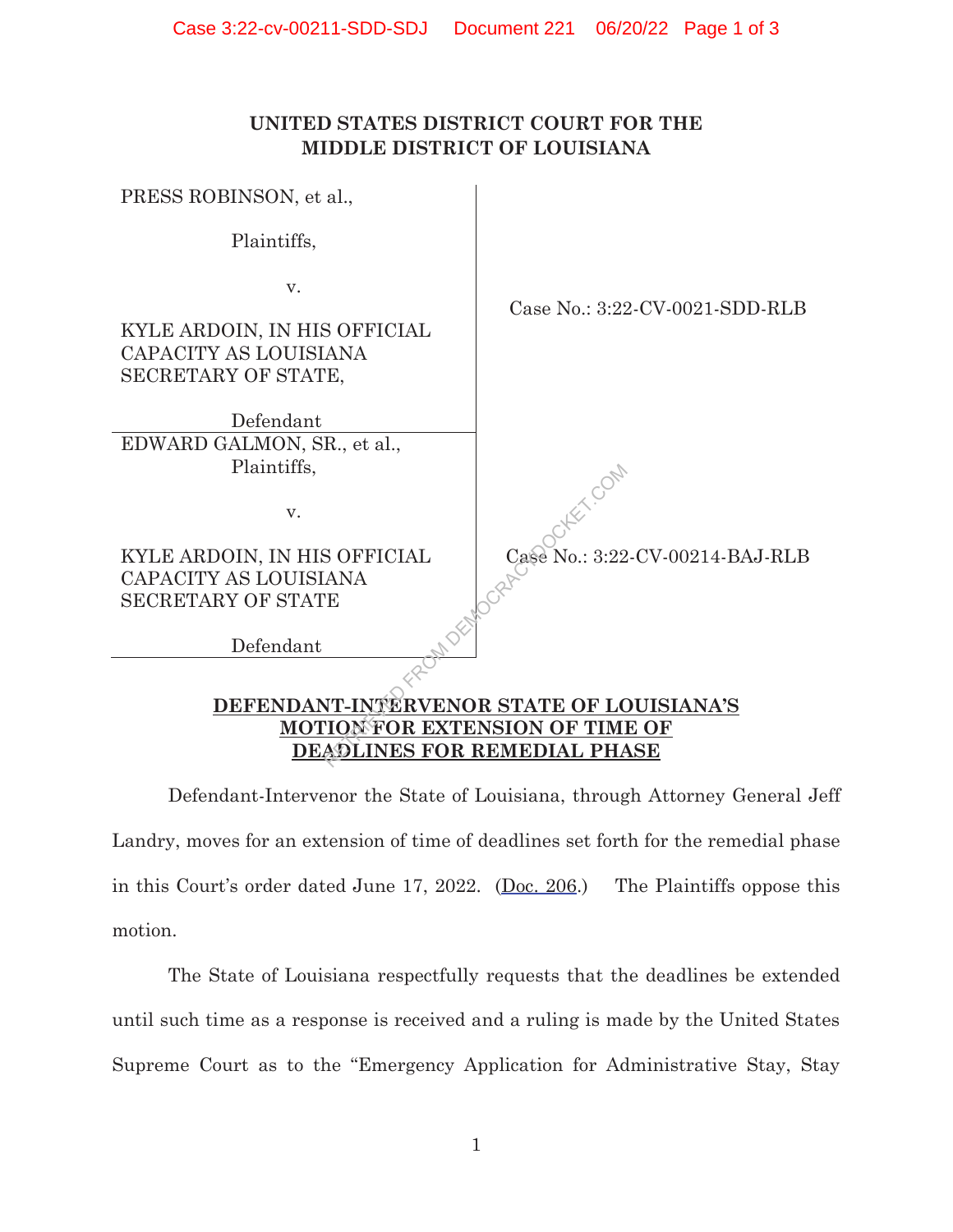## **UNITED STATES DISTRICT COURT FOR THE MIDDLE DISTRICT OF LOUISIANA**

| Case No.: 3:22-CV-0021-SDD-RLB            |  |
|-------------------------------------------|--|
|                                           |  |
|                                           |  |
|                                           |  |
| Case No.: 3:22-CV-00214-BAJ-RLB           |  |
|                                           |  |
|                                           |  |
|                                           |  |
|                                           |  |
| DEFENDANT-INTERVENOR STATE OF LOUISIANA'S |  |
| <b>MOTION FOR EXTENSION OF T</b><br>E OF  |  |
| DEADLINES FOR REMEDIAL PHASE              |  |
|                                           |  |

 Defendant-Intervenor the State of Louisiana, through Attorney General Jeff Landry, moves for an extension of time of deadlines set forth for the remedial phase in this Court's order dated June 17, 2022. (Doc. 206.) The Plaintiffs oppose this motion.

The State of Louisiana respectfully requests that the deadlines be extended until such time as a response is received and a ruling is made by the United States Supreme Court as to the "Emergency Application for Administrative Stay, Stay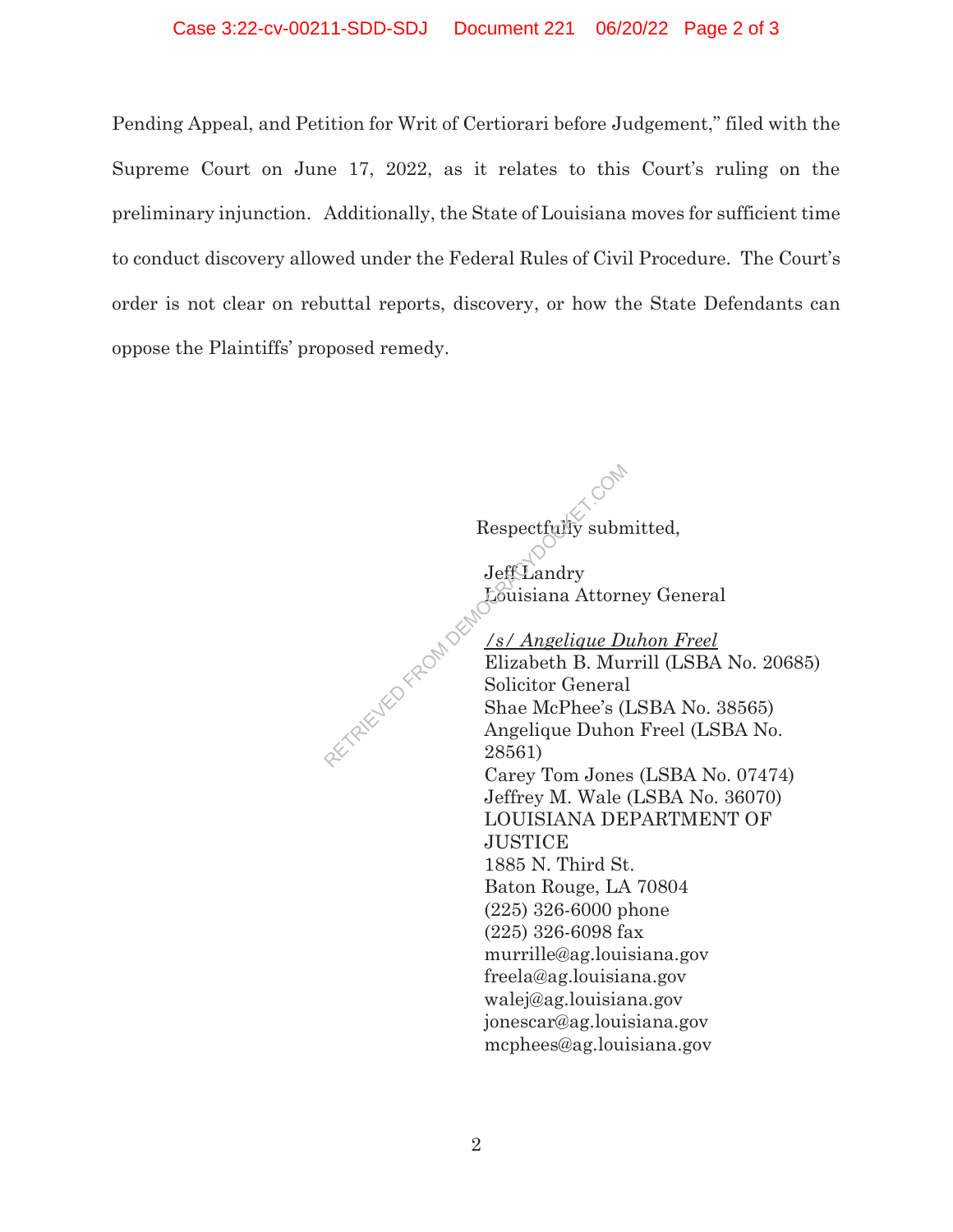## Case 3:22-cv-00211-SDD-SDJ Document 221 06/20/22 Page 2 of 3

Pending Appeal, and Petition for Writ of Certiorari before Judgement," filed with the Supreme Court on June 17, 2022, as it relates to this Court's ruling on the preliminary injunction. Additionally, the State of Louisiana moves for sufficient time to conduct discovery allowed under the Federal Rules of Civil Procedure. The Court's order is not clear on rebuttal reports, discovery, or how the State Defendants can oppose the Plaintiffs' proposed remedy.

> **Jeff**Landry Louisiana Attorney General */s/ Angelique Duhon Freel* Elizabeth B. Murrill (LSBA No. 20685) Solicitor General Shae McPhee's (LSBA No. 38565) Angelique Duhon Freel (LSBA No. 28561) Carey Tom Jones (LSBA No. 07474) Jeffrey M. Wale (LSBA No. 36070) LOUISIANA DEPARTMENT OF **JUSTICE** 1885 N. Third St. Baton Rouge, LA 70804 (225) 326-6000 phone (225) 326-6098 fax murrille@ag.louisiana.gov RETRIEVED FROM DEM

Respectfully submitted,

freela@ag.louisiana.gov walej@ag.louisiana.gov jonescar@ag.louisiana.gov mcphees@ag.louisiana.gov